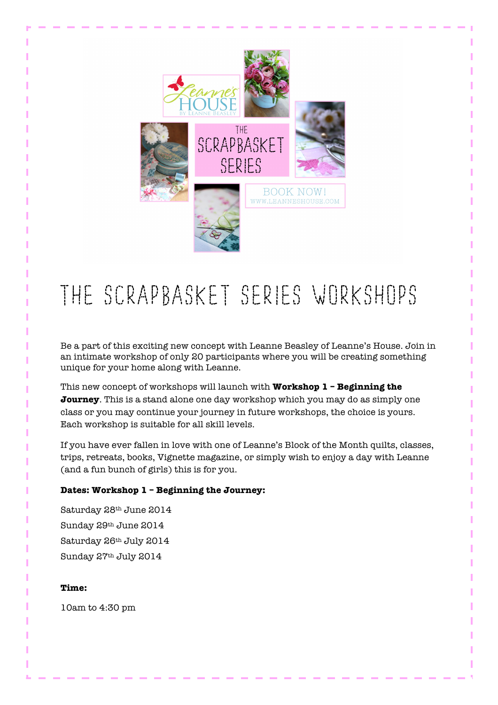

# The Scrapbasket Series Workshops

Be a part of this exciting new concept with Leanne Beasley of Leanne's House. Join in an intimate workshop of only 20 participants where you will be creating something unique for your home along with Leanne.

This new concept of workshops will launch with **Workshop 1 – Beginning the Journey**. This is a stand alone one day workshop which you may do as simply one class or you may continue your journey in future workshops, the choice is yours. Each workshop is suitable for all skill levels.

If you have ever fallen in love with one of Leanne's Block of the Month quilts, classes, trips, retreats, books, Vignette magazine, or simply wish to enjoy a day with Leanne (and a fun bunch of girls) this is for you.

# **Dates: Workshop 1 – Beginning the Journey:**

Saturday 28th June 2014 Sunday 29th June 2014 Saturday 26th July 2014 Sunday 27th July 2014

# **Time:**

10am to 4:30 pm